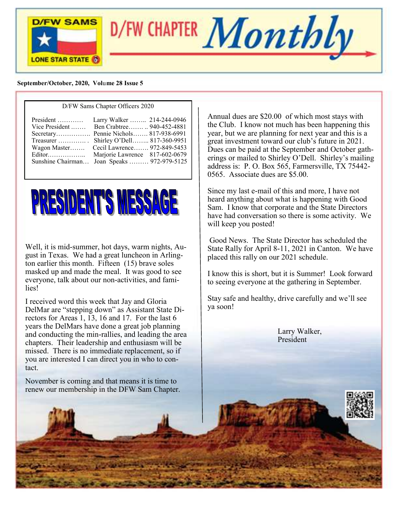

D/FW CHAPTER  $\boldsymbol{Monthly}$ 

#### **September/October, 2020, Vol**u**me 28 Issue 5**

#### D/FW Sams Chapter Officers 2020



Well, it is mid-summer, hot days, warm nights, August in Texas. We had a great luncheon in Arlington earlier this month. Fifteen (15) brave soles masked up and made the meal. It was good to see everyone, talk about our non-activities, and families!

I received word this week that Jay and Gloria DelMar are "stepping down" as Assistant State Directors for Areas 1, 13, 16 and 17. For the last 6 years the DelMars have done a great job planning and conducting the min-rallies, and leading the area chapters. Their leadership and enthusiasm will be missed. There is no immediate replacement, so if you are interested I can direct you in who to contact.

November is coming and that means it is time to renew our membership in the DFW Sam Chapter. Annual dues are \$20.00 of which most stays with the Club. I know not much has been happening this year, but we are planning for next year and this is a great investment toward our club's future in 2021. Dues can be paid at the September and October gatherings or mailed to Shirley O'Dell. Shirley's mailing address is: P. O. Box 565, Farmersville, TX 75442- 0565. Associate dues are \$5.00.

Since my last e-mail of this and more, I have not heard anything about what is happening with Good Sam. I know that corporate and the State Directors have had conversation so there is some activity. We will keep you posted!

Good News. The State Director has scheduled the State Rally for April 8-11, 2021 in Canton. We have placed this rally on our 2021 schedule.

I know this is short, but it is Summer! Look forward to seeing everyone at the gathering in September.

Stay safe and healthy, drive carefully and we'll see ya soon!

> Larry Walker, President

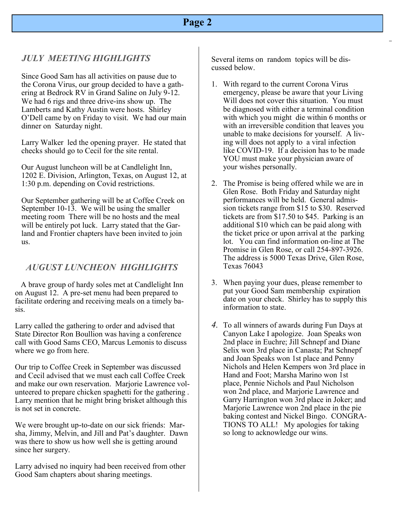# *JULY MEETING HIGHLIGHTS*

Since Good Sam has all activities on pause due to the Corona Virus, our group decided to have a gathering at Bedrock RV in Grand Saline on July 9-12. We had 6 rigs and three drive-ins show up. The Lamberts and Kathy Austin were hosts. Shirley O'Dell came by on Friday to visit. We had our main dinner on Saturday night.

Larry Walker led the opening prayer. He stated that checks should go to Cecil for the site rental.

Our August luncheon will be at Candlelight Inn, 1202 E. Division, Arlington, Texas, on August 12, at 1:30 p.m. depending on Covid restrictions.

Our September gathering will be at Coffee Creek on September 10-13. We will be using the smaller meeting room There will be no hosts and the meal will be entirely pot luck. Larry stated that the Garland and Frontier chapters have been invited to join us.

## *AUGUST LUNCHEON HIGHLIGHTS*

A brave group of hardy soles met at Candlelight Inn on August 12. A pre-set menu had been prepared to facilitate ordering and receiving meals on a timely basis.

Larry called the gathering to order and advised that State Director Ron Boullion was having a conference call with Good Sams CEO, Marcus Lemonis to discuss where we go from here.

Our trip to Coffee Creek in September was discussed and Cecil advised that we must each call Coffee Creek and make our own reservation. Marjorie Lawrence volunteered to prepare chicken spaghetti for the gathering . Larry mention that he might bring brisket although this is not set in concrete.

We were brought up-to-date on our sick friends: Marsha, Jimmy, Melvin, and Jill and Pat's daughter. Dawn was there to show us how well she is getting around since her surgery.

Larry advised no inquiry had been received from other Good Sam chapters about sharing meetings.

Several items on random topics will be discussed below.

- 1. With regard to the current Corona Virus emergency, please be aware that your Living Will does not cover this situation. You must be diagnosed with either a terminal condition with which you might die within 6 months or with an irreversible condition that leaves you unable to make decisions for yourself. A living will does not apply to a viral infection like COVID-19. If a decision has to be made YOU must make your physician aware of your wishes personally.
- 2. The Promise is being offered while we are in Glen Rose. Both Friday and Saturday night performances will be held. General admission tickets range from \$15 to \$30. Reserved tickets are from \$17.50 to \$45. Parking is an additional \$10 which can be paid along with the ticket price or upon arrival at the parking lot. You can find information on-line at The Promise in Glen Rose, or call 254-897-3926. The address is 5000 Texas Drive, Glen Rose, Texas 76043
- 3. When paying your dues, please remember to put your Good Sam membership expiration date on your check. Shirley has to supply this information to state.
- *4.* To all winners of awards during Fun Days at Canyon Lake I apologize. Joan Speaks won 2nd place in Euchre; Jill Schnepf and Diane Selix won 3rd place in Canasta; Pat Schnepf and Joan Speaks won 1st place and Penny Nichols and Helen Kempers won 3rd place in Hand and Foot; Marsha Marino won 1st place, Pennie Nichols and Paul Nicholson won 2nd place, and Marjorie Lawrence and Garry Harrington won 3rd place in Joker; and Marjorie Lawrence won 2nd place in the pie baking contest and Nickel Bingo. CONGRA-TIONS TO ALL! My apologies for taking so long to acknowledge our wins.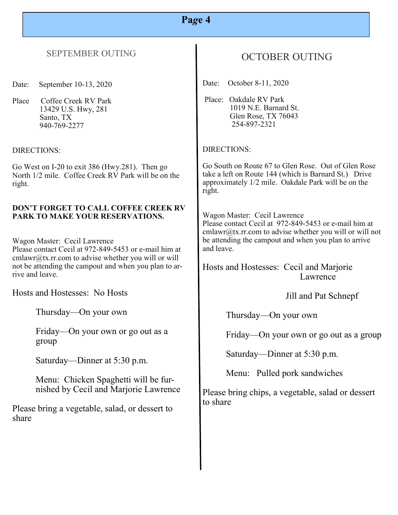# **Pa***g***e 4**

### SEPTEMBER OUTING

Date: September 10-13, 2020

Place Coffee Creek RV Park 13429 U.S. Hwy, 281 Santo, TX 940-769-2277

DIRECTIONS:

Go West on I-20 to exit 386 (Hwy.281). Then go North 1/2 mile. Coffee Creek RV Park will be on the right.

#### **DON'T FORGET TO CALL COFFEE CREEK RV PARK TO MAKE YOUR RESERVATIONS.**

Wagon Master: Cecil Lawrence Please contact Cecil at 972-849-5453 or e-mail him at  $cmlawr@tx.rr.com$  to advise whether you will or will not be attending the campout and when you plan to arrive and leave.

Hosts and Hostesses: No Hosts

Thursday—On your own

Friday—On your own or go out as a group

Saturday—Dinner at 5:30 p.m.

Menu: Chicken Spaghetti will be furnished by Cecil and Marjorie Lawrence

Please bring a vegetable, salad, or dessert to share

# OCTOBER OUTING

Date: October 8-11, 2020

Place: Oakdale RV Park 1019 N.E. Barnard St. Glen Rose, TX 76043 254-897-2321

### DIRECTIONS:

Go South on Route 67 to Glen Rose. Out of Glen Rose take a left on Route 144 (which is Barnard St.) Drive approximately 1/2 mile. Oakdale Park will be on the right.

Wagon Master: Cecil Lawrence Please contact Cecil at 972-849-5453 or e-mail him at cmlawr@tx.rr.com to advise whether you will or will not be attending the campout and when you plan to arrive and leave.

Hosts and Hostesses: Cecil and Marjorie Lawrence

Jill and Pat Schnepf

Thursday—On your own

Friday—On your own or go out as a group

Saturday—Dinner at 5:30 p.m.

Menu: Pulled pork sandwiches

Please bring chips, a vegetable, salad or dessert to share